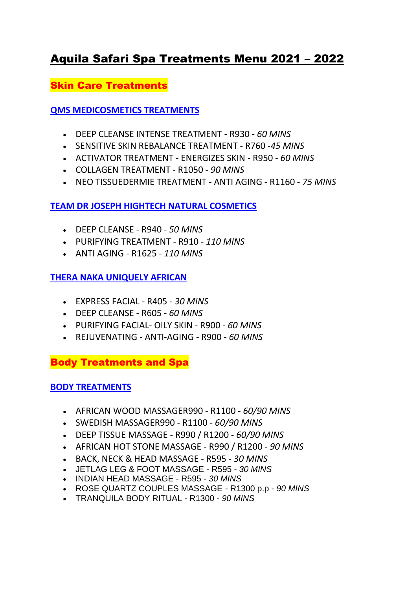# Aquila Safari Spa Treatments Menu 2021 – 2022

Skin Care Treatments

**QMS MEDICOSMETICS TREATMENTS**

- DEEP CLEANSE INTENSE TREATMENT R930 *60 MINS*
- SENSITIVE SKIN REBALANCE TREATMENT R760 -*45 MINS*
- ACTIVATOR TREATMENT ENERGIZES SKIN R950 *60 MINS*
- COLLAGEN TREATMENT R1050 *90 MINS*
- NEO TISSUEDERMIE TREATMENT ANTI AGING R1160 *75 MINS*

# **TEAM DR JOSEPH HIGHTECH NATURAL COSMETICS**

- DEEP CLEANSE R940 *50 MINS*
- PURIFYING TREATMENT R910 *110 MINS*
- ANTI AGING R1625 *110 MINS*

# **THERA NAKA UNIQUELY AFRICAN**

- EXPRESS FACIAL R405 *30 MINS*
- DEEP CLEANSE R605 *60 MINS*
- PURIFYING FACIAL- OILY SKIN R900 *60 MINS*
- [REJUVENATING -](https://www.aquilasafari.com/wp-content/uploads/2020/04/spa12.jpg) ANTI-AGING R900 *60 MINS*

Body Treatments and Spa

### **BODY TREATMENTS**

- AFRICAN WOOD MASSAGER990 R1100 *60/90 MINS*
- SWEDISH MASSAGER990 R1100 *60/90 MINS*
- DEEP TISSUE MASSAGE R990 / R1200 *60/90 MINS*
- AFRICAN HOT STONE MASSAGE R990 / R1200 *90 MINS*
- BACK, NECK & HEAD MASSAGE R595 *30 MINS*
- [JETLAG LEG & FOOT MASSAGE](https://www.aquilasafari.com/tranquila-spa/) R595 *30 MIN[S](https://www.aquilasafari.com/tranquila-spa/)*
- [INDIAN HEAD MASSAGE](https://www.aquilasafari.com/tranquila-spa/) R595 *30 MIN[S](https://www.aquilasafari.com/tranquila-spa/)*
- [ROSE QUARTZ COUPLES MASSAGE](https://www.aquilasafari.com/tranquila-spa/) R1300 p.p *90 MINS*
- [TRANQUILA BODY RITUAL](https://www.aquilasafari.com/tranquila-spa/) R1300 *90 MINS*